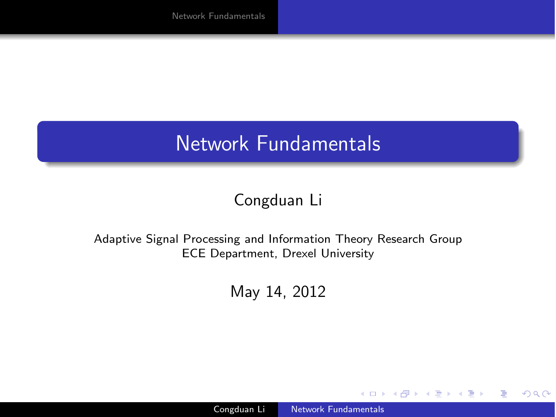### Network Fundamentals

### Congduan Li

#### Adaptive Signal Processing and Information Theory Research Group ECE Department, Drexel University

May 14, 2012

 $\overline{a}$ 

 $299$ 

<span id="page-0-0"></span>∍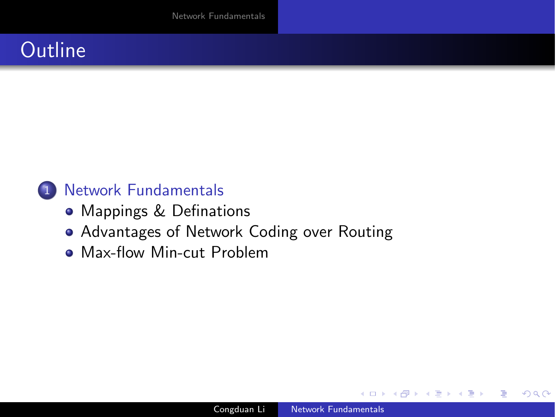## **Outline**

### 1 [Network Fundamentals](#page-2-0)

- [Mappings & Definations](#page-2-0)
- [Advantages of Network Coding over Routing](#page-4-0)
- [Max-flow Min-cut Problem](#page-7-0)

 $\Omega$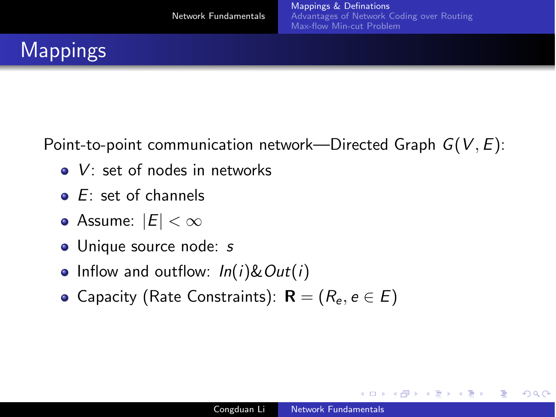Point-to-point communication network—Directed Graph *G*(*V*, *E*):

- *V*: set of nodes in networks
- *E*: set of channels
- **•** Assume:  $|E| < ∞$
- Unique source node: *s*
- Inflow and outflow: *In*(*i*)&*Out*(*i*)
- **•** Capacity (Rate Constraints):  $R = (R_e, e \in E)$

<span id="page-2-0"></span>4 0 5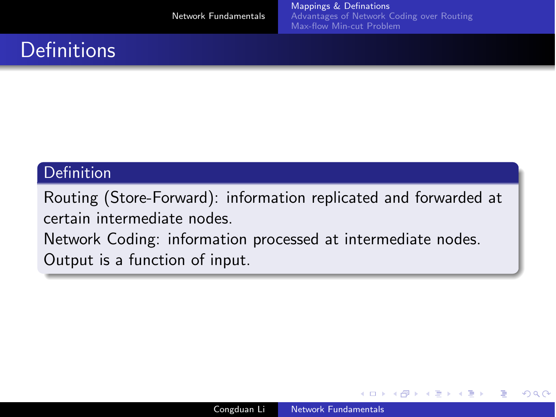# **Definitions**

### Definition

Routing (Store-Forward): information replicated and forwarded at certain intermediate nodes. Network Coding: information processed at intermediate nodes. Output is a function of input.

**A 177 16**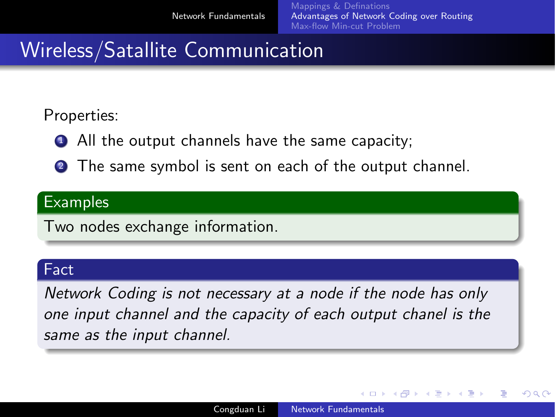<span id="page-4-0"></span>つくへ

## Wireless/Satallite Communication

Properties:

- **1** All the output channels have the same capacity;
- **2** The same symbol is sent on each of the output channel.

### **Examples**

Two nodes exchange information.

#### Fact

*Network Coding is not necessary at a node if the node has only one input channel and the capacity of each output chanel is the same as the input channel.*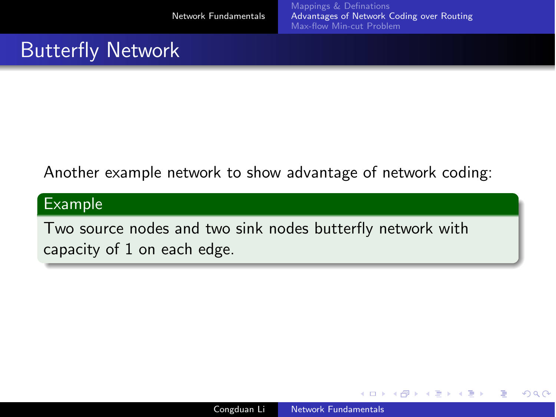## **Butterfly Network**

### Another example network to show advantage of network coding:

#### Example

Two source nodes and two sink nodes butterfly network with capacity of 1 on each edge.

**A 177 16**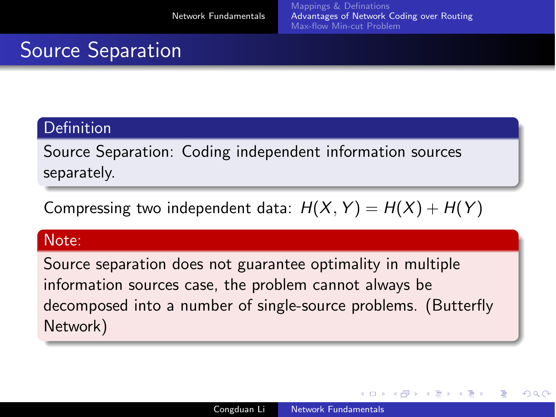つくへ

# Source Separation

### Definition

Source Separation: Coding independent information sources separately.

Compressing two independent data:  $H(X, Y) = H(X) + H(Y)$ 

#### Note:

Source separation does not guarantee optimality in multiple information sources case, the problem cannot always be decomposed into a number of single-source problems. (Butterfly Network)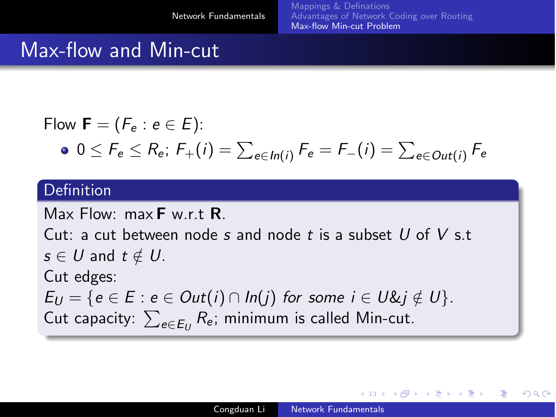<span id="page-7-0"></span> $209$ 

### Max-flow and Min-cut

Flow 
$$
\mathbf{F} = (F_e : e \in E)
$$
:  
\n•  $0 \le F_e \le R_e$ ;  $F_+(i) = \sum_{e \in In(i)} F_e = F_-(i) = \sum_{e \in Out(i)} F_e$ 

#### Definition

Max Flow:  $max$ **F** w  $rt$ **R**. Cut: a cut between node *s* and node *t* is a subset *U* of *V* s.t  $s \in U$  and  $t \notin U$ . Cut edges:  $E_U = \{e \in E : e \in Out(i) \cap In(j) \text{ for some } i \in U \& i \notin U\}.$ Cut capacity:  $\sum_{e \in E_U} R_e$ ; minimum is called Min-cut.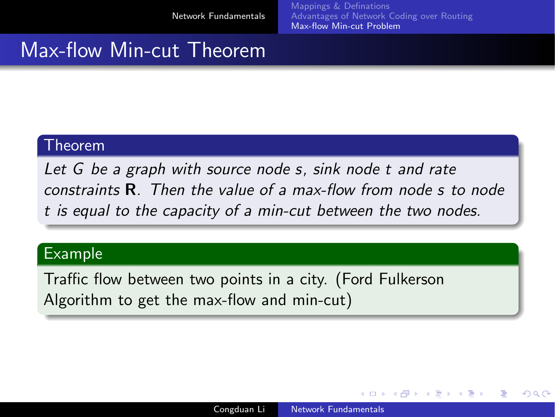$209C$ 

### Max-flow Min-cut Theorem

#### Theorem

*Let G be a graph with source node s, sink node t and rate constraints* R*. Then the value of a max-flow from node s to node t is equal to the capacity of a min-cut between the two nodes.*

#### Example

Traffic flow between two points in a city. (Ford Fulkerson Algorithm to get the max-flow and min-cut)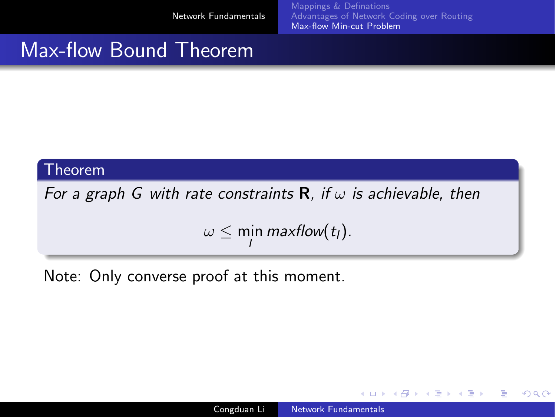### Max-flow Bound Theorem

#### Theorem

*For a graph G with rate constraints* R*, if* ω *is achievable, then*

$$
\omega \leq \min_{l} \text{maxflow}(t_l).
$$

Note: Only converse proof at this moment.

4日)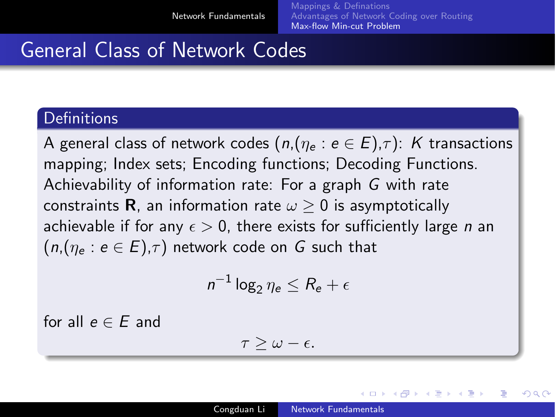つへい

## General Class of Network Codes

#### **Definitions**

A general class of network codes  $(n,(n_e : e \in E),\tau)$ : *K* transactions mapping; Index sets; Encoding functions; Decoding Functions. Achievability of information rate: For a graph *G* with rate constraints **R**, an information rate  $\omega \geq 0$  is asymptotically achievable if for any  $\epsilon > 0$ , there exists for sufficiently large *n* an  $(n,(n_e : e \in E),\tau)$  network code on G such that

$$
n^{-1}\log_2\eta_e\leq R_e+\epsilon
$$

for all  $e \in E$  and

$$
\tau \geq \omega - \epsilon.
$$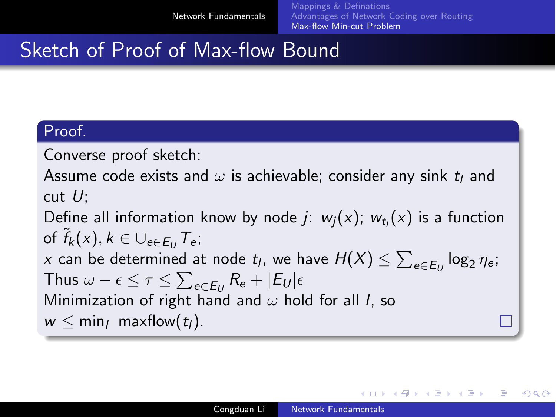つくへ

## Sketch of Proof of Max-flow Bound

#### Proof.

Converse proof sketch:

Assume code exists and  $\omega$  is achievable; consider any sink  $t<sub>l</sub>$  and cut *U*;

Define all information know by node *j*:  $w_i(x)$ ;  $w_{t_i}(x)$  is a function of  $\tilde{f}_k(x), k \in \bigcup_{e \in E_U} T_e$ ; *x* can be determined at node *t*<sub>*l*</sub>, we have  $H(X) \le \sum_{e \in E_U} \log_2 \eta_e$ ; Thus  $\omega - \epsilon \leq \tau \leq \sum_{e \in E_U} R_e + |E_U|\epsilon$ Minimization of right hand and ω hold for all *l*, so  $w \leq \min_l \text{maxflow}(t_l)$ .

Congduan Li [Network Fundamentals](#page-0-0)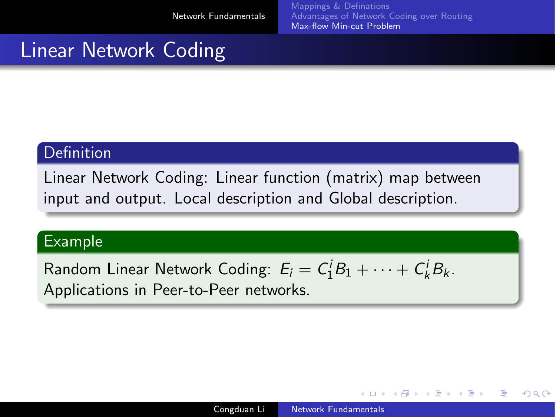### Linear Network Coding

#### **Definition**

Linear Network Coding: Linear function (matrix) map between input and output. Local description and Global description.

#### Example

Random Linear Network Coding:  $E_i = C_1^i B_1 + \cdots + C_k^i B_k$ . Applications in Peer-to-Peer networks.

4 17 18

④何 ト ④ 目 ト ④